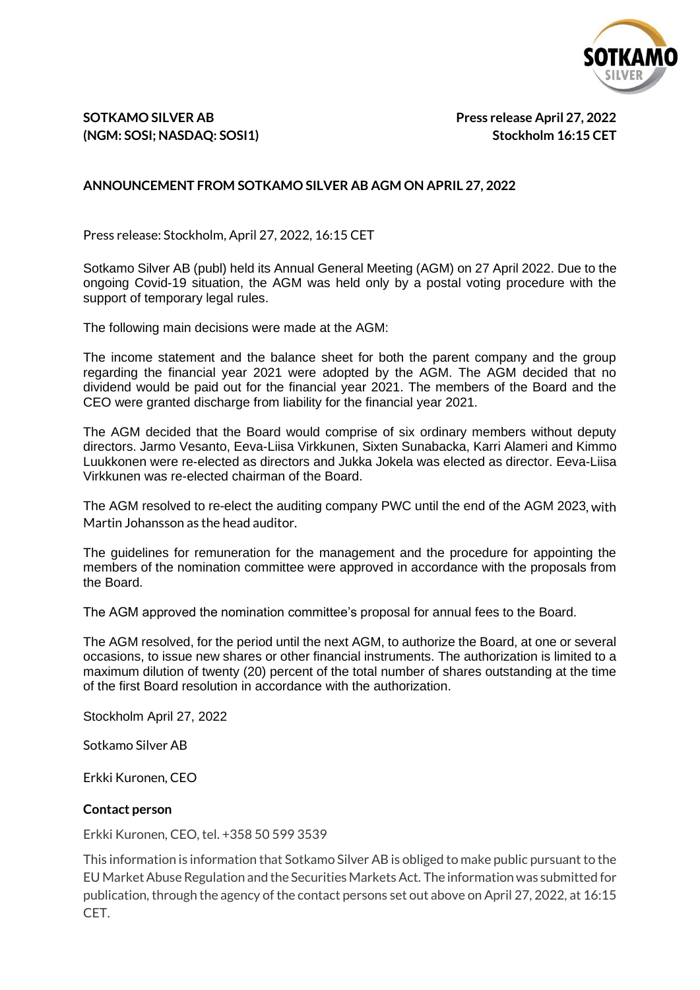

## **SOTKAMO SILVER AB Press release April 27, 2022 (NGM: SOSI; NASDAQ: SOSI1) Stockholm 16:15 CET**

## **ANNOUNCEMENT FROM SOTKAMO SILVER AB AGM ON APRIL 27, 2022**

Press release: Stockholm, April 27, 2022, 16:15 CET

Sotkamo Silver AB (publ) held its Annual General Meeting (AGM) on 27 April 2022. Due to the ongoing Covid-19 situation, the AGM was held only by a postal voting procedure with the support of temporary legal rules.

The following main decisions were made at the AGM:

The income statement and the balance sheet for both the parent company and the group regarding the financial year 2021 were adopted by the AGM. The AGM decided that no dividend would be paid out for the financial year 2021. The members of the Board and the CEO were granted discharge from liability for the financial year 2021.

The AGM decided that the Board would comprise of six ordinary members without deputy directors. Jarmo Vesanto, Eeva-Liisa Virkkunen, Sixten Sunabacka, Karri Alameri and Kimmo Luukkonen were re-elected as directors and Jukka Jokela was elected as director. Eeva-Liisa Virkkunen was re-elected chairman of the Board.

The AGM resolved to re-elect the auditing company PWC until the end of the AGM 2023, with Martin Johansson as the head auditor.

The guidelines for remuneration for the management and the procedure for appointing the members of the nomination committee were approved in accordance with the proposals from the Board.

The AGM approved the nomination committee's proposal for annual fees to the Board.

The AGM resolved, for the period until the next AGM, to authorize the Board, at one or several occasions, to issue new shares or other financial instruments. The authorization is limited to a maximum dilution of twenty (20) percent of the total number of shares outstanding at the time of the first Board resolution in accordance with the authorization.

Stockholm April 27, 2022

Sotkamo Silver AB

Erkki Kuronen, CEO

## **Contact person**

Erkki Kuronen, CEO, tel. +358 50 599 3539

This information is information that Sotkamo Silver AB is obliged to make public pursuantto the EU MarketAbuseRegulation and the Securities MarketsAct. The information was submitted for publication, through the agency ofthe contact persons set out above on April 27, 2022, at 16:15 CET.